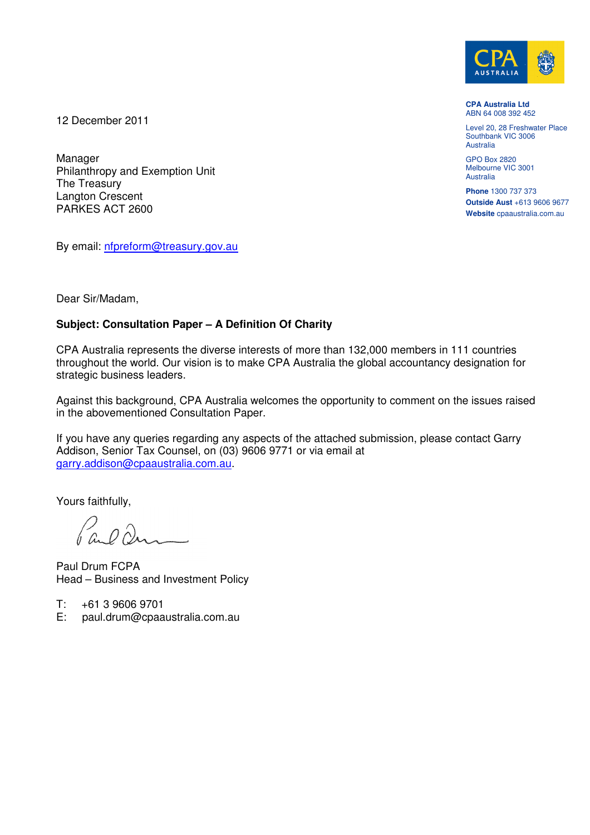

**CPA Australia Ltd**  ABN 64 008 392 452

Level 20, 28 Freshwater Place Southbank VIC 3006 Australia

GPO Box 2820 Melbourne VIC 3001 Australia

**Phone** 1300 737 373 **Outside Aust** +613 9606 9677 **Website** cpaaustralia.com.au

12 December 2011

Manager Philanthropy and Exemption Unit The Treasury Langton Crescent PARKES ACT 2600

By email: [nfpreform@treasury.gov.au](mailto:nfpreform@treasury.gov.au)

Dear Sir/Madam,

# **Subject: Consultation Paper – A Definition Of Charity**

CPA Australia represents the diverse interests of more than 132,000 members in 111 countries throughout the world. Our vision is to make CPA Australia the global accountancy designation for strategic business leaders.

Against this background, CPA Australia welcomes the opportunity to comment on the issues raised in the abovementioned Consultation Paper.

If you have any queries regarding any aspects of the attached submission, please contact Garry Addison, Senior Tax Counsel, on (03) 9606 9771 or via email at [garry.addison@cpaaustralia.com.au.](mailto:garry.addison@cpaaustralia.com.au)

Yours faithfully,

Pa. D. Dans

Paul Drum FCPA Head – Business and Investment Policy

- $T: +61396069701$ <br>E: paul.drum@cpaa
- paul.drum@cpaaustralia.com.au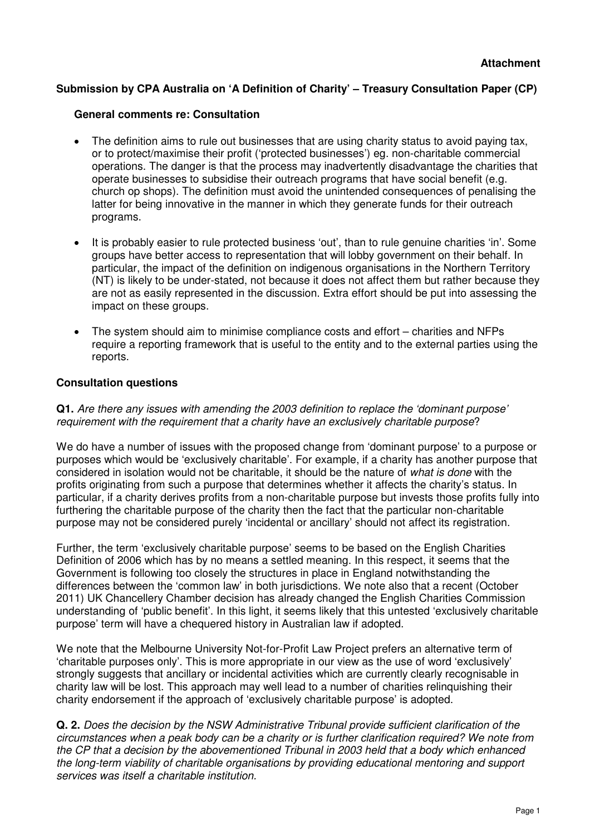## **Submission by CPA Australia on 'A Definition of Charity' – Treasury Consultation Paper (CP)**

#### **General comments re: Consultation**

- The definition aims to rule out businesses that are using charity status to avoid paying tax, or to protect/maximise their profit ('protected businesses') eg. non-charitable commercial operations. The danger is that the process may inadvertently disadvantage the charities that operate businesses to subsidise their outreach programs that have social benefit (e.g. church op shops). The definition must avoid the unintended consequences of penalising the latter for being innovative in the manner in which they generate funds for their outreach programs.
- · It is probably easier to rule protected business 'out', than to rule genuine charities 'in'. Some groups have better access to representation that will lobby government on their behalf. In particular, the impact of the definition on indigenous organisations in the Northern Territory (NT) is likely to be under-stated, not because it does not affect them but rather because they are not as easily represented in the discussion. Extra effort should be put into assessing the impact on these groups.
- · The system should aim to minimise compliance costs and effort charities and NFPs require a reporting framework that is useful to the entity and to the external parties using the reports.

#### **Consultation questions**

**Q1.** Are there any issues with amending the 2003 definition to replace the 'dominant purpose' requirement with the requirement that a charity have an exclusively charitable purpose?

We do have a number of issues with the proposed change from 'dominant purpose' to a purpose or purposes which would be 'exclusively charitable'. For example, if a charity has another purpose that considered in isolation would not be charitable, it should be the nature of what is done with the profits originating from such a purpose that determines whether it affects the charity's status. In particular, if a charity derives profits from a non-charitable purpose but invests those profits fully into furthering the charitable purpose of the charity then the fact that the particular non-charitable purpose may not be considered purely 'incidental or ancillary' should not affect its registration.

Further, the term 'exclusively charitable purpose' seems to be based on the English Charities Definition of 2006 which has by no means a settled meaning. In this respect, it seems that the Government is following too closely the structures in place in England notwithstanding the differences between the 'common law' in both jurisdictions. We note also that a recent (October 2011) UK Chancellery Chamber decision has already changed the English Charities Commission understanding of 'public benefit'. In this light, it seems likely that this untested 'exclusively charitable purpose' term will have a chequered history in Australian law if adopted.

We note that the Melbourne University Not-for-Profit Law Project prefers an alternative term of 'charitable purposes only'. This is more appropriate in our view as the use of word 'exclusively' strongly suggests that ancillary or incidental activities which are currently clearly recognisable in charity law will be lost. This approach may well lead to a number of charities relinquishing their charity endorsement if the approach of 'exclusively charitable purpose' is adopted.

**Q. 2.** Does the decision by the NSW Administrative Tribunal provide sufficient clarification of the circumstances when a peak body can be a charity or is further clarification required? We note from the CP that a decision by the abovementioned Tribunal in 2003 held that a body which enhanced the long-term viability of charitable organisations by providing educational mentoring and support services was itself a charitable institution.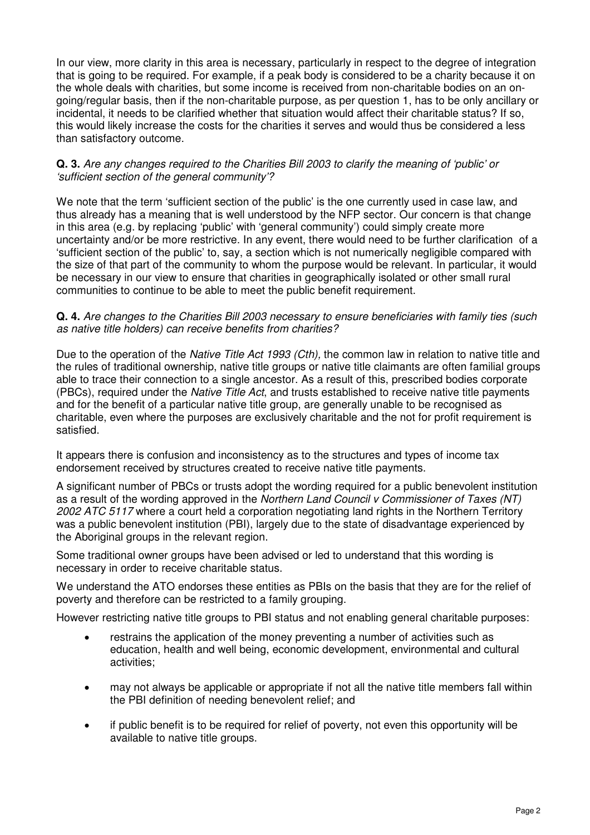In our view, more clarity in this area is necessary, particularly in respect to the degree of integration that is going to be required. For example, if a peak body is considered to be a charity because it on the whole deals with charities, but some income is received from non-charitable bodies on an ongoing/regular basis, then if the non-charitable purpose, as per question 1, has to be only ancillary or incidental, it needs to be clarified whether that situation would affect their charitable status? If so, this would likely increase the costs for the charities it serves and would thus be considered a less than satisfactory outcome.

## **Q. 3.** Are any changes required to the Charities Bill 2003 to clarify the meaning of 'public' or 'sufficient section of the general community'?

We note that the term 'sufficient section of the public' is the one currently used in case law, and thus already has a meaning that is well understood by the NFP sector. Our concern is that change in this area (e.g. by replacing 'public' with 'general community') could simply create more uncertainty and/or be more restrictive. In any event, there would need to be further clarification of a 'sufficient section of the public' to, say, a section which is not numerically negligible compared with the size of that part of the community to whom the purpose would be relevant. In particular, it would be necessary in our view to ensure that charities in geographically isolated or other small rural communities to continue to be able to meet the public benefit requirement.

## **Q. 4.** Are changes to the Charities Bill 2003 necessary to ensure beneficiaries with family ties (such as native title holders) can receive benefits from charities?

Due to the operation of the Native Title Act 1993 (Cth), the common law in relation to native title and the rules of traditional ownership, native title groups or native title claimants are often familial groups able to trace their connection to a single ancestor. As a result of this, prescribed bodies corporate (PBCs), required under the *Native Title Act*, and trusts established to receive native title payments and for the benefit of a particular native title group, are generally unable to be recognised as charitable, even where the purposes are exclusively charitable and the not for profit requirement is satisfied.

It appears there is confusion and inconsistency as to the structures and types of income tax endorsement received by structures created to receive native title payments.

A significant number of PBCs or trusts adopt the wording required for a public benevolent institution as a result of the wording approved in the Northern Land Council v Commissioner of Taxes (NT) 2002 ATC 5117 where a court held a corporation negotiating land rights in the Northern Territory was a public benevolent institution (PBI), largely due to the state of disadvantage experienced by the Aboriginal groups in the relevant region.

Some traditional owner groups have been advised or led to understand that this wording is necessary in order to receive charitable status.

We understand the ATO endorses these entities as PBIs on the basis that they are for the relief of poverty and therefore can be restricted to a family grouping.

However restricting native title groups to PBI status and not enabling general charitable purposes:

- restrains the application of the money preventing a number of activities such as education, health and well being, economic development, environmental and cultural activities;
- · may not always be applicable or appropriate if not all the native title members fall within the PBI definition of needing benevolent relief; and
- if public benefit is to be required for relief of poverty, not even this opportunity will be available to native title groups.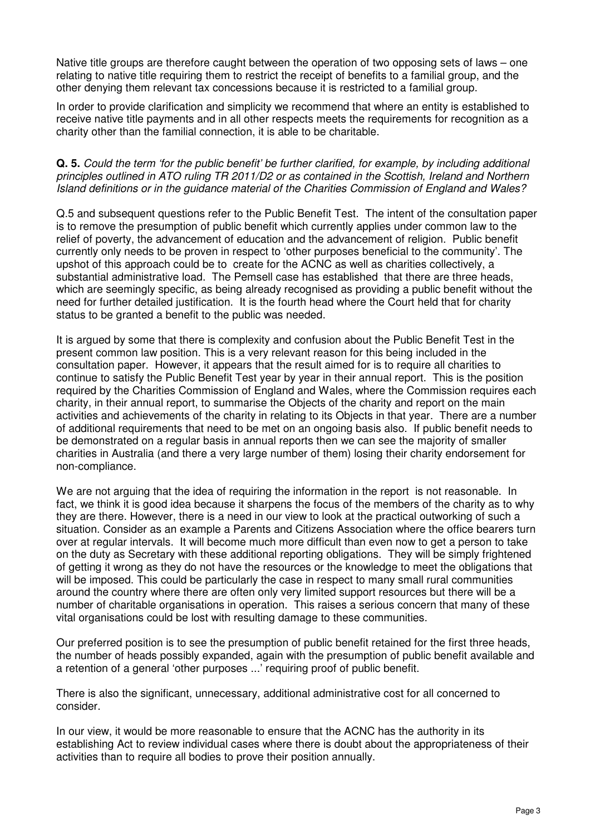Native title groups are therefore caught between the operation of two opposing sets of laws – one relating to native title requiring them to restrict the receipt of benefits to a familial group, and the other denying them relevant tax concessions because it is restricted to a familial group.

In order to provide clarification and simplicity we recommend that where an entity is established to receive native title payments and in all other respects meets the requirements for recognition as a charity other than the familial connection, it is able to be charitable.

## **Q. 5.** Could the term 'for the public benefit' be further clarified, for example, by including additional principles outlined in ATO ruling TR 2011/D2 or as contained in the Scottish, Ireland and Northern Island definitions or in the guidance material of the Charities Commission of England and Wales?

Q.5 and subsequent questions refer to the Public Benefit Test. The intent of the consultation paper is to remove the presumption of public benefit which currently applies under common law to the relief of poverty, the advancement of education and the advancement of religion. Public benefit currently only needs to be proven in respect to 'other purposes beneficial to the community'. The upshot of this approach could be to create for the ACNC as well as charities collectively, a substantial administrative load. The Pemsell case has established that there are three heads, which are seemingly specific, as being already recognised as providing a public benefit without the need for further detailed justification. It is the fourth head where the Court held that for charity status to be granted a benefit to the public was needed.

It is argued by some that there is complexity and confusion about the Public Benefit Test in the present common law position. This is a very relevant reason for this being included in the consultation paper. However, it appears that the result aimed for is to require all charities to continue to satisfy the Public Benefit Test year by year in their annual report. This is the position required by the Charities Commission of England and Wales, where the Commission requires each charity, in their annual report, to summarise the Objects of the charity and report on the main activities and achievements of the charity in relating to its Objects in that year. There are a number of additional requirements that need to be met on an ongoing basis also. If public benefit needs to be demonstrated on a regular basis in annual reports then we can see the majority of smaller charities in Australia (and there a very large number of them) losing their charity endorsement for non-compliance.

We are not arguing that the idea of requiring the information in the report is not reasonable. In fact, we think it is good idea because it sharpens the focus of the members of the charity as to why they are there. However, there is a need in our view to look at the practical outworking of such a situation. Consider as an example a Parents and Citizens Association where the office bearers turn over at regular intervals. It will become much more difficult than even now to get a person to take on the duty as Secretary with these additional reporting obligations. They will be simply frightened of getting it wrong as they do not have the resources or the knowledge to meet the obligations that will be imposed. This could be particularly the case in respect to many small rural communities around the country where there are often only very limited support resources but there will be a number of charitable organisations in operation. This raises a serious concern that many of these vital organisations could be lost with resulting damage to these communities.

Our preferred position is to see the presumption of public benefit retained for the first three heads, the number of heads possibly expanded, again with the presumption of public benefit available and a retention of a general 'other purposes ...' requiring proof of public benefit.

There is also the significant, unnecessary, additional administrative cost for all concerned to consider.

In our view, it would be more reasonable to ensure that the ACNC has the authority in its establishing Act to review individual cases where there is doubt about the appropriateness of their activities than to require all bodies to prove their position annually.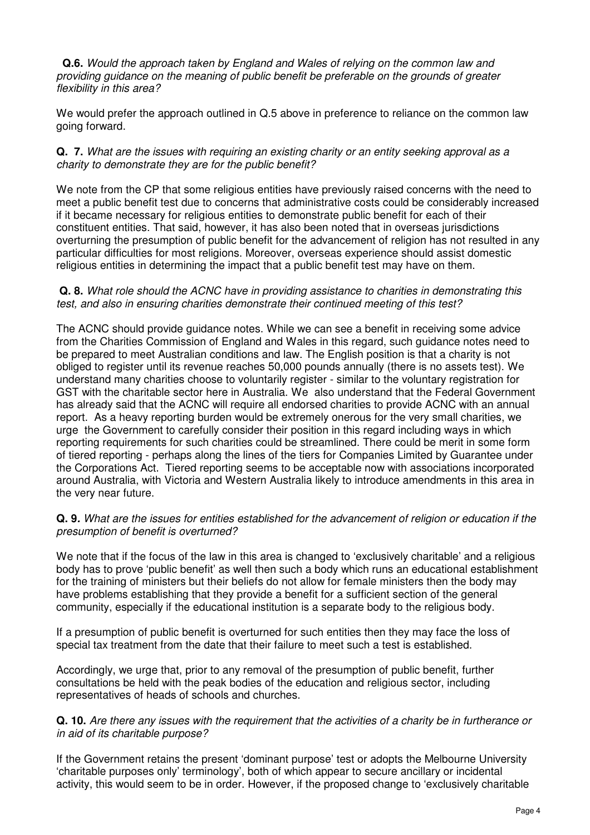**Q.6.** Would the approach taken by England and Wales of relying on the common law and providing guidance on the meaning of public benefit be preferable on the grounds of greater flexibility in this area?

We would prefer the approach outlined in Q.5 above in preference to reliance on the common law going forward.

**Q. 7.** What are the issues with requiring an existing charity or an entity seeking approval as a charity to demonstrate they are for the public benefit?

We note from the CP that some religious entities have previously raised concerns with the need to meet a public benefit test due to concerns that administrative costs could be considerably increased if it became necessary for religious entities to demonstrate public benefit for each of their constituent entities. That said, however, it has also been noted that in overseas jurisdictions overturning the presumption of public benefit for the advancement of religion has not resulted in any particular difficulties for most religions. Moreover, overseas experience should assist domestic religious entities in determining the impact that a public benefit test may have on them.

### **Q. 8.** What role should the ACNC have in providing assistance to charities in demonstrating this test, and also in ensuring charities demonstrate their continued meeting of this test?

The ACNC should provide guidance notes. While we can see a benefit in receiving some advice from the Charities Commission of England and Wales in this regard, such guidance notes need to be prepared to meet Australian conditions and law. The English position is that a charity is not obliged to register until its revenue reaches 50,000 pounds annually (there is no assets test). We understand many charities choose to voluntarily register - similar to the voluntary registration for GST with the charitable sector here in Australia. We also understand that the Federal Government has already said that the ACNC will require all endorsed charities to provide ACNC with an annual report. As a heavy reporting burden would be extremely onerous for the very small charities, we urge the Government to carefully consider their position in this regard including ways in which reporting requirements for such charities could be streamlined. There could be merit in some form of tiered reporting - perhaps along the lines of the tiers for Companies Limited by Guarantee under the Corporations Act. Tiered reporting seems to be acceptable now with associations incorporated around Australia, with Victoria and Western Australia likely to introduce amendments in this area in the very near future.

## **Q. 9.** What are the issues for entities established for the advancement of religion or education if the presumption of benefit is overturned?

We note that if the focus of the law in this area is changed to 'exclusively charitable' and a religious body has to prove 'public benefit' as well then such a body which runs an educational establishment for the training of ministers but their beliefs do not allow for female ministers then the body may have problems establishing that they provide a benefit for a sufficient section of the general community, especially if the educational institution is a separate body to the religious body.

If a presumption of public benefit is overturned for such entities then they may face the loss of special tax treatment from the date that their failure to meet such a test is established.

Accordingly, we urge that, prior to any removal of the presumption of public benefit, further consultations be held with the peak bodies of the education and religious sector, including representatives of heads of schools and churches.

## **Q. 10.** Are there any issues with the requirement that the activities of a charity be in furtherance or in aid of its charitable purpose?

If the Government retains the present 'dominant purpose' test or adopts the Melbourne University 'charitable purposes only' terminology', both of which appear to secure ancillary or incidental activity, this would seem to be in order. However, if the proposed change to 'exclusively charitable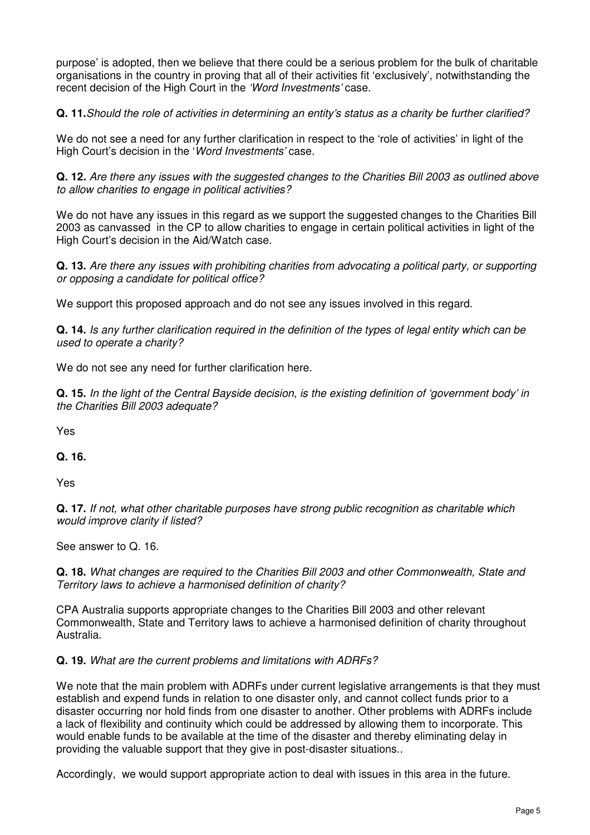purpose' is adopted, then we believe that there could be a serious problem for the bulk of charitable organisations in the country in proving that all of their activities fit 'exclusively', notwithstanding the recent decision of the High Court in the 'Word Investments' case.

**Q. 11.**Should the role of activities in determining an entity's status as a charity be further clarified?

We do not see a need for any further clarification in respect to the 'role of activities' in light of the High Court's decision in the 'Word Investments' case.

**Q. 12.** Are there any issues with the suggested changes to the Charities Bill 2003 as outlined above to allow charities to engage in political activities?

We do not have any issues in this regard as we support the suggested changes to the Charities Bill 2003 as canvassed in the CP to allow charities to engage in certain political activities in light of the High Court's decision in the Aid/Watch case.

**Q. 13.** Are there any issues with prohibiting charities from advocating a political party, or supporting or opposing a candidate for political office?

We support this proposed approach and do not see any issues involved in this regard.

**Q. 14.** Is any further clarification required in the definition of the types of legal entity which can be used to operate a charity?

We do not see any need for further clarification here.

**Q. 15.** In the light of the Central Bayside decision, is the existing definition of 'government body' in the Charities Bill 2003 adequate?

Yes

## **Q. 16.**

Yes

**Q. 17.** If not, what other charitable purposes have strong public recognition as charitable which would improve clarity if listed?

See answer to Q. 16.

**Q. 18.** What changes are required to the Charities Bill 2003 and other Commonwealth, State and Territory laws to achieve a harmonised definition of charity?

CPA Australia supports appropriate changes to the Charities Bill 2003 and other relevant Commonwealth, State and Territory laws to achieve a harmonised definition of charity throughout Australia.

## **Q. 19.** What are the current problems and limitations with ADRFs?

We note that the main problem with ADRFs under current legislative arrangements is that they must establish and expend funds in relation to one disaster only, and cannot collect funds prior to a disaster occurring nor hold finds from one disaster to another. Other problems with ADRFs include a lack of flexibility and continuity which could be addressed by allowing them to incorporate. This would enable funds to be available at the time of the disaster and thereby eliminating delay in providing the valuable support that they give in post-disaster situations..

Accordingly, we would support appropriate action to deal with issues in this area in the future.